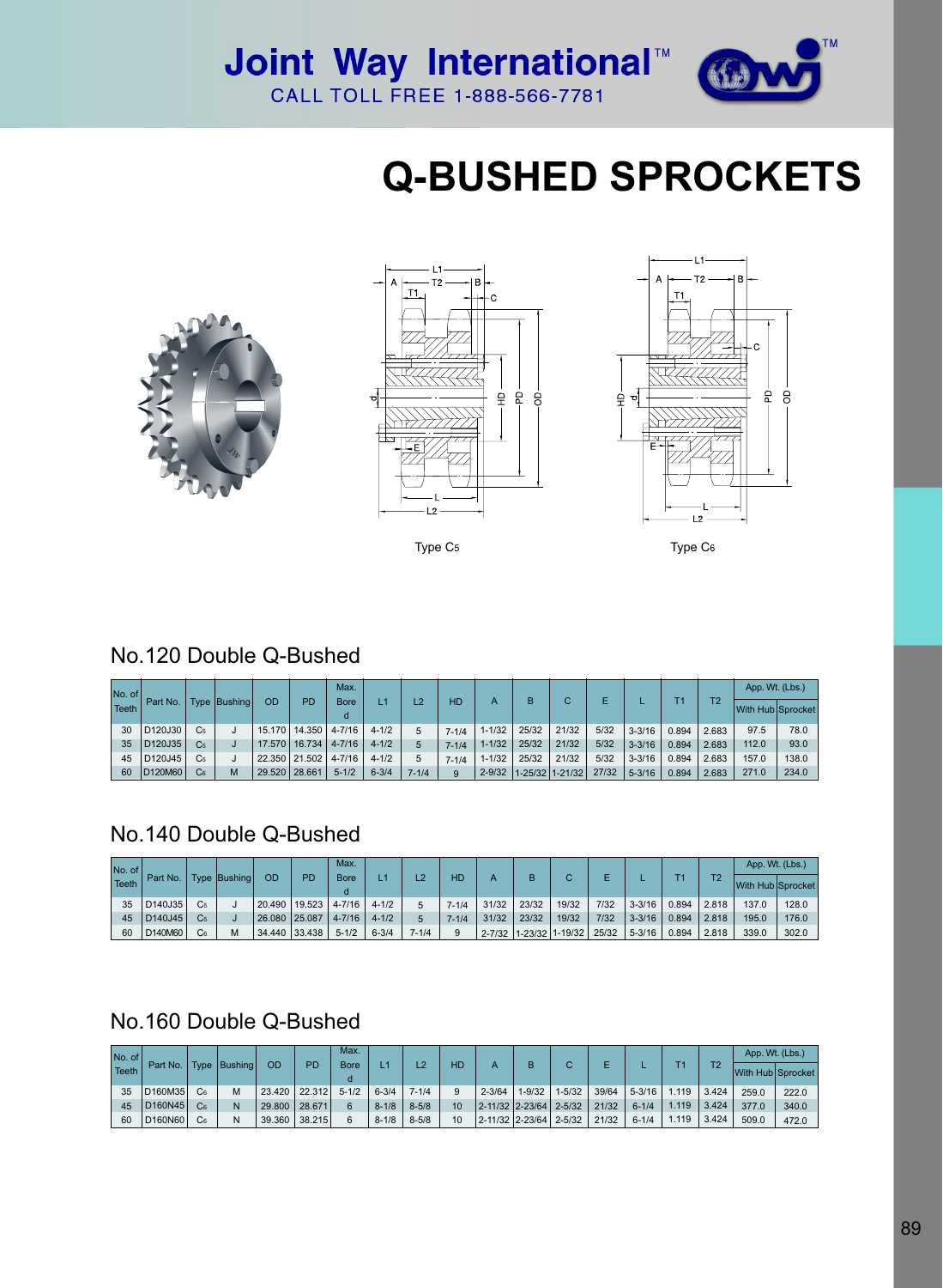

## **Q-BUSHED SPROCKETS**





Type C5



Type C6

#### No.120 Double Q-Bushed

| No. of<br>Teeth | l Part No. I                     |                | Type Bushing |               | PD                       | Max.<br><b>Bore</b> |           | L2        |           |            | в     | С               |       |            | Т1    | T2    | App. Wt. (Lbs.)   |       |
|-----------------|----------------------------------|----------------|--------------|---------------|--------------------------|---------------------|-----------|-----------|-----------|------------|-------|-----------------|-------|------------|-------|-------|-------------------|-------|
|                 |                                  |                |              | OD            |                          |                     |           |           | <b>HD</b> | А          |       |                 |       |            |       |       | With Hub Sprocket |       |
| 30              | D <sub>120J30</sub>              | C <sub>5</sub> |              | 15.170        | 14.350                   | $4 - 7/16$          | $4 - 1/2$ |           | $7 - 1/4$ | $1 - 1/32$ | 25/32 | 21/32           | 5/32  | $3 - 3/16$ | 0.894 | 2.683 | 97.5              | 78.0  |
| 35              | D <sub>120J35</sub>              | C <sub>5</sub> |              |               | 17.570   16.734   4-7/16 |                     | $4 - 1/2$ |           | $7 - 1/4$ | $1 - 1/32$ | 25/32 | 21/32           | 5/32  | $3 - 3/16$ | 0.894 | 2.683 | 112.0             | 93.0  |
| 45              | D <sub>120</sub> J <sub>45</sub> | C <sub>5</sub> |              |               | 22.350   21.502   4-7/16 |                     | $4 - 1/2$ | 5         | $7 - 1/4$ | $1 - 1/32$ | 25/32 | 21/32           | 5/32  | $3 - 3/16$ | 0.894 | 2.683 | 157.0             | 138.0 |
| 60              | D <sub>120</sub> M <sub>60</sub> | C <sub>6</sub> | M            | 29.520 28.661 |                          | $5 - 1/2$           | $6 - 3/4$ | $7 - 1/4$ | 9         | $2 - 9/32$ |       | 1-25/32 1-21/32 | 27/32 | $5 - 3/16$ | 0.894 | 2.683 | 271.0             | 234.0 |

#### No.140 Double Q-Bushed

| No. of<br>Teeth | Part No.            |                | Type Bushing | OD     | PD            | Max.        |           | L2        | HD        |            | в     | С                 | E     |            | T1    | T <sub>2</sub> | App. Wt. (Lbs.)   |       |
|-----------------|---------------------|----------------|--------------|--------|---------------|-------------|-----------|-----------|-----------|------------|-------|-------------------|-------|------------|-------|----------------|-------------------|-------|
|                 |                     |                |              |        |               | <b>Bore</b> |           |           |           |            |       |                   |       |            |       |                | With Hub Sprocket |       |
| 35              | D <sub>140J35</sub> | C <sub>5</sub> |              | 20.490 | 19.523        | $4 - 7/16$  | $4 - 1/2$ |           | $7 - 1/4$ | 31/32      | 23/32 | 19/32             | 7/32  | $3 - 3/16$ | 0.894 | 2.818          | 137.0             | 128.0 |
| 45              | D140J45             | C <sub>5</sub> |              |        | 26.080 25.087 | $4 - 7/16$  | $4 - 1/2$ |           | $7 - 1/4$ | 31/32      | 23/32 | 19/32             | 7/32  | $3 - 3/16$ | 0.894 | 2.818          | 195.0             | 176.0 |
| 60              | D140M60             | C <sub>6</sub> |              |        | 34,440 33,438 | $5 - 1/2$   | $6 - 3/4$ | $7 - 1/4$ | 9         | $2 - 7/32$ |       | $1-23/32$ 1-19/32 | 25/32 | $5 - 3/16$ | 0.894 | 2.818          | 339.0             | 302.0 |

### No.160 Double Q-Bushed

| $No. of \sqrt{ }Teeth$ | Part No.                         |                |                | OD              | <b>PD</b> | Max.<br><b>Bore</b> |           | L2        | HD |                                 | в          | С          |       |            |       | T <sub>2</sub> | App. Wt. (Lbs.) |                   |
|------------------------|----------------------------------|----------------|----------------|-----------------|-----------|---------------------|-----------|-----------|----|---------------------------------|------------|------------|-------|------------|-------|----------------|-----------------|-------------------|
|                        |                                  |                | Type   Bushing |                 |           |                     |           |           |    |                                 |            |            |       |            |       |                |                 | With Hub Sprocket |
| 35                     | D160M35                          |                |                | 23.420 22.312   |           | $5 - 1/2$           | $6 - 3/4$ | $7 - 1/4$ | 9  | $2 - 3/64$                      | $1 - 9/32$ | $1 - 5/32$ | 39/64 | $5 - 3/16$ | .119  | 3.424          | 259.0           | 222.0             |
| 45                     | D <sub>160N45</sub>              | C <sub>6</sub> |                | 29.800   28.671 |           |                     | $8 - 1/8$ | $8 - 5/8$ | 10 | $ 2 - 11/32 2 - 23/64 2 - 5/32$ |            |            | 21/32 | $6 - 1/4$  | 1.119 | 3.424          | 377.0           | 340.0             |
| 60                     | D <sub>160</sub> N <sub>60</sub> | C <sub>6</sub> |                | 39.360          | 38.215    |                     | $8 - 1/8$ | $8 - 5/8$ | 10 | $2 - 11/32$ 2-23/64 2-5/32      |            |            | 21/32 | $6 - 1/4$  | .119  | 3.424          | 509.0           | 472.0             |